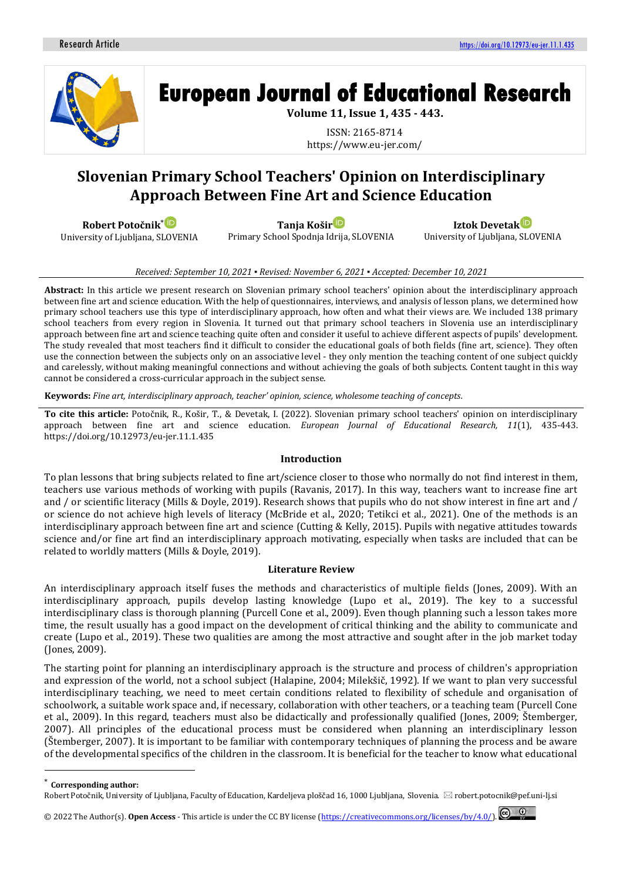

**European Journal of Educational Research** 

**Volume 11, Issue 1, 435 - 443.**

ISSN: 2165-8714 https://www.eu-jer.com/

# **Slovenian Primary School Teachers' Opinion on Interdisciplinary Approach Between Fine Art and Science Education**

**Robert Potočnik**[\\*](https://orcid.org/0000-0002-6927-7679)

University of Ljubljana, SLOVENIA

**Tanja Koši[r](https://orcid.org/0000-0003-0257-8554)** Primary School Spodnja Idrija, SLOVENIA

**Iztok Devetak** University of Ljubljana, SLOVENIA

### *Received: September 10, 2021 ▪ Revised: November 6, 2021 ▪ Accepted: December 10, 2021*

**Abstract:** In this article we present research on Slovenian primary school teachers' opinion about the interdisciplinary approach between fine art and science education. With the help of questionnaires, interviews, and analysis of lesson plans, we determined how primary school teachers use this type of interdisciplinary approach, how often and what their views are. We included 138 primary school teachers from every region in Slovenia. It turned out that primary school teachers in Slovenia use an interdisciplinary approach between fine art and science teaching quite often and consider it useful to achieve different aspects of pupils' development. The study revealed that most teachers find it difficult to consider the educational goals of both fields (fine art, science). They often use the connection between the subjects only on an associative level - they only mention the teaching content of one subject quickly and carelessly, without making meaningful connections and without achieving the goals of both subjects. Content taught in this way cannot be considered a cross-curricular approach in the subject sense.

**Keywords:** *Fine art, interdisciplinary approach, teacher' opinion, science, wholesome teaching of concepts.*

**To cite this article:** Potočnik, R., Košir, T., & Devetak, I. (2022). Slovenian primary school teachers' opinion on interdisciplinary approach between fine art and science education. *European Journal of Educational Research, 11*(1), 435-443. https://doi.org/10.12973/eu-jer.11.1.435

#### **Introduction**

To plan lessons that bring subjects related to fine art/science closer to those who normally do not find interest in them, teachers use various methods of working with pupils (Ravanis, 2017). In this way, teachers want to increase fine art and / or scientific literacy (Mills & Doyle, 2019). Research shows that pupils who do not show interest in fine art and / or science do not achieve high levels of literacy (McBride et al., 2020; Tetikci et al., 2021). One of the methods is an interdisciplinary approach between fine art and science (Cutting & Kelly, 2015). Pupils with negative attitudes towards science and/or fine art find an interdisciplinary approach motivating, especially when tasks are included that can be related to worldly matters (Mills & Doyle, 2019).

## **Literature Review**

An interdisciplinary approach itself fuses the methods and characteristics of multiple fields (Jones, 2009). With an interdisciplinary approach, pupils develop lasting knowledge (Lupo et al., 2019). The key to a successful interdisciplinary class is thorough planning (Purcell Cone et al., 2009). Even though planning such a lesson takes more time, the result usually has a good impact on the development of critical thinking and the ability to communicate and create (Lupo et al., 2019). These two qualities are among the most attractive and sought after in the job market today (Jones, 2009).

The starting point for planning an interdisciplinary approach is the structure and process of children's appropriation and expression of the world, not a school subject (Halapine, 2004; Milekšič, 1992). If we want to plan very successful interdisciplinary teaching, we need to meet certain conditions related to flexibility of schedule and organisation of schoolwork, a suitable work space and, if necessary, collaboration with other teachers, or a teaching team (Purcell Cone et al., 2009). In this regard, teachers must also be didactically and professionally qualified (Jones, 2009; Štemberger, 2007). All principles of the educational process must be considered when planning an interdisciplinary lesson (Štemberger, 2007). It is important to be familiar with contemporary techniques of planning the process and be aware of the developmental specifics of the children in the classroom. It is beneficial for the teacher to know what educational

**Corresponding author:** 

© 2022 The Author(s). **Open Access** - This article is under the CC BY license [\(https://creativecommons.org/licenses/by/4.0/\)](https://creativecommons.org/licenses/by/4.0/).

Robert Potočnik, University of Ljubljana, Faculty of Education, Kardeljeva ploščad 16, 1000 Ljubljana, Slovenia.  $\boxtimes$  robert.potocnik@pef.uni-lj.si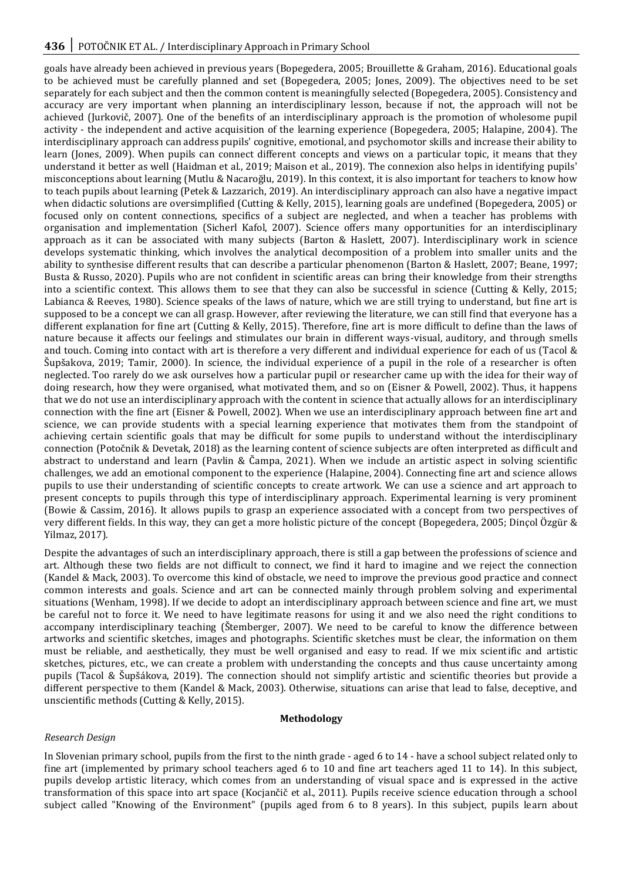goals have already been achieved in previous years (Bopegedera, 2005; Brouillette & Graham, 2016). Educational goals to be achieved must be carefully planned and set (Bopegedera, 2005; Jones, 2009). The objectives need to be set separately for each subject and then the common content is meaningfully selected (Bopegedera, 2005). Consistency and accuracy are very important when planning an interdisciplinary lesson, because if not, the approach will not be achieved (Jurkovič, 2007). One of the benefits of an interdisciplinary approach is the promotion of wholesome pupil activity - the independent and active acquisition of the learning experience (Bopegedera, 2005; Halapine, 2004). The interdisciplinary approach can address pupils' cognitive, emotional, and psychomotor skills and increase their ability to learn (Jones, 2009). When pupils can connect different concepts and views on a particular topic, it means that they understand it better as well (Haidman et al., 2019; Maison et al., 2019). The connexion also helps in identifying pupils' misconceptions about learning (Mutlu & Nacaroğlu, 2019). In this context, it is also important for teachers to know how to teach pupils about learning (Petek & Lazzarich, 2019). An interdisciplinary approach can also have a negative impact when didactic solutions are oversimplified (Cutting & Kelly, 2015), learning goals are undefined (Bopegedera, 2005) or focused only on content connections, specifics of a subject are neglected, and when a teacher has problems with organisation and implementation (Sicherl Kafol, 2007). Science offers many opportunities for an interdisciplinary approach as it can be associated with many subjects (Barton & Haslett, 2007). Interdisciplinary work in science develops systematic thinking, which involves the analytical decomposition of a problem into smaller units and the ability to synthesise different results that can describe a particular phenomenon (Barton & Haslett, 2007; Beane, 1997; Busta & Russo, 2020). Pupils who are not confident in scientific areas can bring their knowledge from their strengths into a scientific context. This allows them to see that they can also be successful in science (Cutting & Kelly, 2015; Labianca & Reeves, 1980). Science speaks of the laws of nature, which we are still trying to understand, but fine art is supposed to be a concept we can all grasp. However, after reviewing the literature, we can still find that everyone has a different explanation for fine art (Cutting & Kelly, 2015). Therefore, fine art is more difficult to define than the laws of nature because it affects our feelings and stimulates our brain in different ways-visual, auditory, and through smells and touch. Coming into contact with art is therefore a very different and individual experience for each of us (Tacol & Šupšakova, 2019; Tamir, 2000). In science, the individual experience of a pupil in the role of a researcher is often neglected. Too rarely do we ask ourselves how a particular pupil or researcher came up with the idea for their way of doing research, how they were organised, what motivated them, and so on (Eisner & Powell, 2002). Thus, it happens that we do not use an interdisciplinary approach with the content in science that actually allows for an interdisciplinary connection with the fine art (Eisner & Powell, 2002). When we use an interdisciplinary approach between fine art and science, we can provide students with a special learning experience that motivates them from the standpoint of achieving certain scientific goals that may be difficult for some pupils to understand without the interdisciplinary connection (Potočnik & Devetak, 2018) as the learning content of science subjects are often interpreted as difficult and abstract to understand and learn (Pavlin & Čampa, 2021). When we include an artistic aspect in solving scientific challenges, we add an emotional component to the experience (Halapine, 2004). Connecting fine art and science allows pupils to use their understanding of scientific concepts to create artwork. We can use a science and art approach to present concepts to pupils through this type of interdisciplinary approach. Experimental learning is very prominent (Bowie & Cassim, 2016). It allows pupils to grasp an experience associated with a concept from two perspectives of very different fields. In this way, they can get a more holistic picture of the concept (Bopegedera, 2005; Dinçol Özgür & Yilmaz, 2017).

Despite the advantages of such an interdisciplinary approach, there is still a gap between the professions of science and art. Although these two fields are not difficult to connect, we find it hard to imagine and we reject the connection (Kandel & Mack, 2003). To overcome this kind of obstacle, we need to improve the previous good practice and connect common interests and goals. Science and art can be connected mainly through problem solving and experimental situations (Wenham, 1998). If we decide to adopt an interdisciplinary approach between science and fine art, we must be careful not to force it. We need to have legitimate reasons for using it and we also need the right conditions to accompany interdisciplinary teaching (Štemberger, 2007). We need to be careful to know the difference between artworks and scientific sketches, images and photographs. Scientific sketches must be clear, the information on them must be reliable, and aesthetically, they must be well organised and easy to read. If we mix scientific and artistic sketches, pictures, etc., we can create a problem with understanding the concepts and thus cause uncertainty among pupils (Tacol & Šupšákova, 2019). The connection should not simplify artistic and scientific theories but provide a different perspective to them (Kandel & Mack, 2003). Otherwise, situations can arise that lead to false, deceptive, and unscientific methods (Cutting & Kelly, 2015).

## **Methodology**

## *Research Design*

In Slovenian primary school, pupils from the first to the ninth grade - aged 6 to 14 - have a school subject related only to fine art (implemented by primary school teachers aged 6 to 10 and fine art teachers aged 11 to 14). In this subject, pupils develop artistic literacy, which comes from an understanding of visual space and is expressed in the active transformation of this space into art space (Kocjančič et al., 2011). Pupils receive science education through a school subject called "Knowing of the Environment" (pupils aged from 6 to 8 years). In this subject, pupils learn about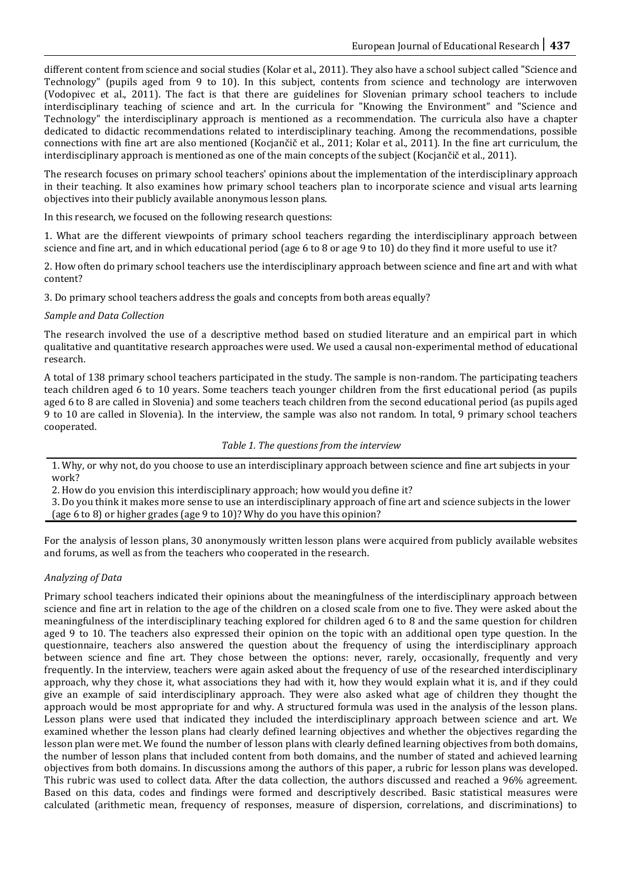different content from science and social studies (Kolar et al., 2011). They also have a school subject called "Science and Technology" (pupils aged from 9 to 10). In this subject, contents from science and technology are interwoven (Vodopivec et al., 2011). The fact is that there are guidelines for Slovenian primary school teachers to include interdisciplinary teaching of science and art. In the curricula for "Knowing the Environment" and "Science and Technology" the interdisciplinary approach is mentioned as a recommendation. The curricula also have a chapter dedicated to didactic recommendations related to interdisciplinary teaching. Among the recommendations, possible connections with fine art are also mentioned (Kocjančič et al., 2011; Kolar et al., 2011). In the fine art curriculum, the interdisciplinary approach is mentioned as one of the main concepts of the subject (Kocjančič et al., 2011).

The research focuses on primary school teachers' opinions about the implementation of the interdisciplinary approach in their teaching. It also examines how primary school teachers plan to incorporate science and visual arts learning objectives into their publicly available anonymous lesson plans.

In this research, we focused on the following research questions:

1. What are the different viewpoints of primary school teachers regarding the interdisciplinary approach between science and fine art, and in which educational period (age 6 to 8 or age 9 to 10) do they find it more useful to use it?

2. How often do primary school teachers use the interdisciplinary approach between science and fine art and with what content?

3. Do primary school teachers address the goals and concepts from both areas equally?

# *Sample and Data Collection*

The research involved the use of a descriptive method based on studied literature and an empirical part in which qualitative and quantitative research approaches were used. We used a causal non-experimental method of educational research.

A total of 138 primary school teachers participated in the study. The sample is non-random. The participating teachers teach children aged 6 to 10 years. Some teachers teach younger children from the first educational period (as pupils aged 6 to 8 are called in Slovenia) and some teachers teach children from the second educational period (as pupils aged 9 to 10 are called in Slovenia). In the interview, the sample was also not random. In total, 9 primary school teachers cooperated.

## *Table 1. The questions from the interview*

1. Why, or why not, do you choose to use an interdisciplinary approach between science and fine art subjects in your work?

2. How do you envision this interdisciplinary approach; how would you define it?

3. Do you think it makes more sense to use an interdisciplinary approach of fine art and science subjects in the lower (age 6 to 8) or higher grades (age 9 to 10)? Why do you have this opinion?

For the analysis of lesson plans, 30 anonymously written lesson plans were acquired from publicly available websites and forums, as well as from the teachers who cooperated in the research.

# *Analyzing of Data*

Primary school teachers indicated their opinions about the meaningfulness of the interdisciplinary approach between science and fine art in relation to the age of the children on a closed scale from one to five. They were asked about the meaningfulness of the interdisciplinary teaching explored for children aged 6 to 8 and the same question for children aged 9 to 10. The teachers also expressed their opinion on the topic with an additional open type question. In the questionnaire, teachers also answered the question about the frequency of using the interdisciplinary approach between science and fine art. They chose between the options: never, rarely, occasionally, frequently and very frequently. In the interview, teachers were again asked about the frequency of use of the researched interdisciplinary approach, why they chose it, what associations they had with it, how they would explain what it is, and if they could give an example of said interdisciplinary approach. They were also asked what age of children they thought the approach would be most appropriate for and why. A structured formula was used in the analysis of the lesson plans. Lesson plans were used that indicated they included the interdisciplinary approach between science and art. We examined whether the lesson plans had clearly defined learning objectives and whether the objectives regarding the lesson plan were met. We found the number of lesson plans with clearly defined learning objectives from both domains, the number of lesson plans that included content from both domains, and the number of stated and achieved learning objectives from both domains. In discussions among the authors of this paper, a rubric for lesson plans was developed. This rubric was used to collect data. After the data collection, the authors discussed and reached a 96% agreement. Based on this data, codes and findings were formed and descriptively described. Basic statistical measures were calculated (arithmetic mean, frequency of responses, measure of dispersion, correlations, and discriminations) to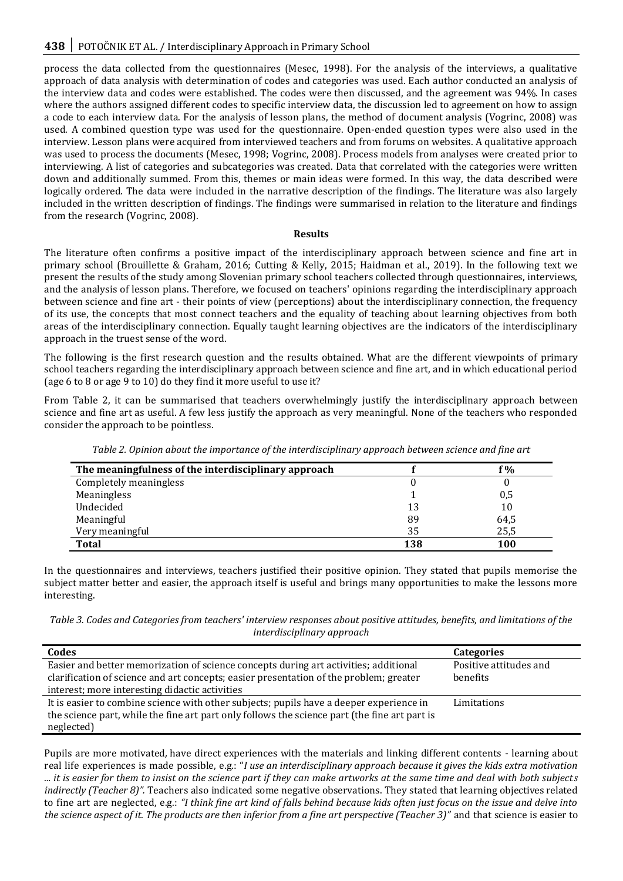process the data collected from the questionnaires (Mesec, 1998). For the analysis of the interviews, a qualitative approach of data analysis with determination of codes and categories was used. Each author conducted an analysis of the interview data and codes were established. The codes were then discussed, and the agreement was 94%. In cases where the authors assigned different codes to specific interview data, the discussion led to agreement on how to assign a code to each interview data. For the analysis of lesson plans, the method of document analysis (Vogrinc, 2008) was used. A combined question type was used for the questionnaire. Open-ended question types were also used in the interview. Lesson plans were acquired from interviewed teachers and from forums on websites. A qualitative approach was used to process the documents (Mesec, 1998; Vogrinc, 2008). Process models from analyses were created prior to interviewing. A list of categories and subcategories was created. Data that correlated with the categories were written down and additionally summed. From this, themes or main ideas were formed. In this way, the data described were logically ordered. The data were included in the narrative description of the findings. The literature was also largely included in the written description of findings. The findings were summarised in relation to the literature and findings from the research (Vogrinc, 2008).

## **Results**

The literature often confirms a positive impact of the interdisciplinary approach between science and fine art in primary school (Brouillette & Graham, 2016; Cutting & Kelly, 2015; Haidman et al., 2019). In the following text we present the results of the study among Slovenian primary school teachers collected through questionnaires, interviews, and the analysis of lesson plans. Therefore, we focused on teachers' opinions regarding the interdisciplinary approach between science and fine art - their points of view (perceptions) about the interdisciplinary connection, the frequency of its use, the concepts that most connect teachers and the equality of teaching about learning objectives from both areas of the interdisciplinary connection. Equally taught learning objectives are the indicators of the interdisciplinary approach in the truest sense of the word.

The following is the first research question and the results obtained. What are the different viewpoints of primary school teachers regarding the interdisciplinary approach between science and fine art, and in which educational period (age 6 to 8 or age 9 to 10) do they find it more useful to use it?

From Table 2, it can be summarised that teachers overwhelmingly justify the interdisciplinary approach between science and fine art as useful. A few less justify the approach as very meaningful. None of the teachers who responded consider the approach to be pointless.

| The meaningfulness of the interdisciplinary approach |     | °%   |
|------------------------------------------------------|-----|------|
| Completely meaningless                               |     |      |
| Meaningless                                          |     | 0,5  |
| Undecided                                            | 13  | 10   |
| Meaningful                                           | 89  | 64,5 |
| Very meaningful                                      | 35  | 25,5 |
| <b>Total</b>                                         | 138 | 100  |

*Table 2. Opinion about the importance of the interdisciplinary approach between science and fine art*

In the questionnaires and interviews, teachers justified their positive opinion. They stated that pupils memorise the subject matter better and easier, the approach itself is useful and brings many opportunities to make the lessons more interesting.

*Table 3. Codes and Categories from teachers' interview responses about positive attitudes, benefits, and limitations of the interdisciplinary approach*

| Codes                                                                                         | <b>Categories</b>      |
|-----------------------------------------------------------------------------------------------|------------------------|
| Easier and better memorization of science concepts during art activities; additional          | Positive attitudes and |
| clarification of science and art concepts; easier presentation of the problem; greater        | benefits               |
| interest; more interesting didactic activities                                                |                        |
| It is easier to combine science with other subjects; pupils have a deeper experience in       | Limitations            |
| the science part, while the fine art part only follows the science part (the fine art part is |                        |
| neglected)                                                                                    |                        |

Pupils are more motivated*,* have direct experiences with the materials and linking different contents - learning about real life experiences is made possible, e.g.: "*I use an interdisciplinary approach because it gives the kids extra motivation ... it is easier for them to insist on the science part if they can make artworks at the same time and deal with both subjects indirectly (Teacher 8)".* Teachers also indicated some negative observations. They stated that learning objectives related to fine art are neglected, e.g.: *"I think fine art kind of falls behind because kids often just focus on the issue and delve into the science aspect of it. The products are then inferior from a fine art perspective (Teacher 3)"* and that science is easier to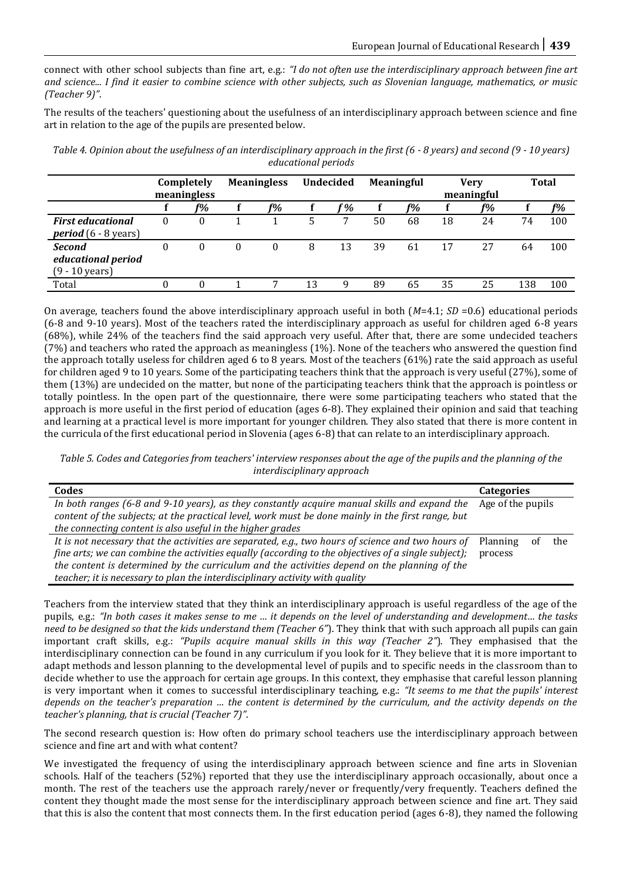connect with other school subjects than fine art, e.g.: *"I do not often use the interdisciplinary approach between fine art and science... I find it easier to combine science with other subjects, such as Slovenian language, mathematics, or music (Teacher 9)"*.

The results of the teachers' questioning about the usefulness of an interdisciplinary approach between science and fine art in relation to the age of the pupils are presented below.

| equeditional periods                                      |                           |    |                    |    |                  |    |                   |    |                           |    |              |       |
|-----------------------------------------------------------|---------------------------|----|--------------------|----|------------------|----|-------------------|----|---------------------------|----|--------------|-------|
|                                                           | Completely<br>meaningless |    | <b>Meaningless</b> |    | <b>Undecided</b> |    | <b>Meaningful</b> |    | <b>Verv</b><br>meaningful |    | <b>Total</b> |       |
|                                                           |                           | f% |                    | f% |                  | °% |                   | f% |                           | f% |              | $f\%$ |
| <b>First educational</b><br><b>period</b> $(6 - 8$ years) |                           |    |                    |    |                  | ⇁  | 50                | 68 | 18                        | 24 | 74           | 100   |
| <b>Second</b>                                             |                           |    |                    |    |                  | 13 | 39                | 61 |                           | 27 | 64           | 100   |

Total 0 0 1 7 13 9 89 65 35 25 138 100

*educational period* (9 - 10 years)

*Table 4. Opinion about the usefulness of an interdisciplinary approach in the first (6 - 8 years) and second (9 - 10 years) educational periods*

On average, teachers found the above interdisciplinary approach useful in both (*M*=4.1; *SD* =0.6) educational periods (6-8 and 9-10 years). Most of the teachers rated the interdisciplinary approach as useful for children aged 6-8 years (68%), while 24% of the teachers find the said approach very useful. After that, there are some undecided teachers (7%) and teachers who rated the approach as meaningless (1%). None of the teachers who answered the question find the approach totally useless for children aged 6 to 8 years. Most of the teachers (61%) rate the said approach as useful for children aged 9 to 10 years. Some of the participating teachers think that the approach is very useful (27%), some of them (13%) are undecided on the matter, but none of the participating teachers think that the approach is pointless or totally pointless. In the open part of the questionnaire, there were some participating teachers who stated that the approach is more useful in the first period of education (ages 6-8). They explained their opinion and said that teaching and learning at a practical level is more important for younger children. They also stated that there is more content in the curricula of the first educational period in Slovenia (ages 6-8) that can relate to an interdisciplinary approach.

*Table 5. Codes and Categories from teachers' interview responses about the age of the pupils and the planning of the interdisciplinary approach*

| Codes                                                                                                                                                                                             | <b>Categories</b> |                   |     |  |
|---------------------------------------------------------------------------------------------------------------------------------------------------------------------------------------------------|-------------------|-------------------|-----|--|
| In both ranges (6-8 and 9-10 years), as they constantly acquire manual skills and expand the<br>content of the subjects; at the practical level, work must be done mainly in the first range, but |                   | Age of the pupils |     |  |
| the connecting content is also useful in the higher grades                                                                                                                                        |                   |                   |     |  |
| It is not necessary that the activities are separated, e.g., two hours of science and two hours of                                                                                                | Planning          |                   | the |  |
| fine arts; we can combine the activities equally (according to the objectives of a single subject);                                                                                               | process           |                   |     |  |
| the content is determined by the curriculum and the activities depend on the planning of the                                                                                                      |                   |                   |     |  |
| teacher; it is necessary to plan the interdisciplinary activity with quality                                                                                                                      |                   |                   |     |  |

Teachers from the interview stated that they think an interdisciplinary approach is useful regardless of the age of the pupils, e.g.: *"In both cases it makes sense to me … it depends on the level of understanding and development… the tasks need to be designed so that the kids understand them (Teacher 6"*). They think that with such approach all pupils can gain important craft skills, e.g.: *"Pupils acquire manual skills in this way (Teacher 2"*). They emphasised that the interdisciplinary connection can be found in any curriculum if you look for it. They believe that it is more important to adapt methods and lesson planning to the developmental level of pupils and to specific needs in the classroom than to decide whether to use the approach for certain age groups. In this context, they emphasise that careful lesson planning is very important when it comes to successful interdisciplinary teaching, e.g.: *"It seems to me that the pupils' interest depends on the teacher's preparation … the content is determined by the curriculum, and the activity depends on the teacher's planning, that is crucial (Teacher 7)"*.

The second research question is: How often do primary school teachers use the interdisciplinary approach between science and fine art and with what content?

We investigated the frequency of using the interdisciplinary approach between science and fine arts in Slovenian schools. Half of the teachers (52%) reported that they use the interdisciplinary approach occasionally, about once a month. The rest of the teachers use the approach rarely/never or frequently/very frequently. Teachers defined the content they thought made the most sense for the interdisciplinary approach between science and fine art. They said that this is also the content that most connects them. In the first education period (ages 6-8), they named the following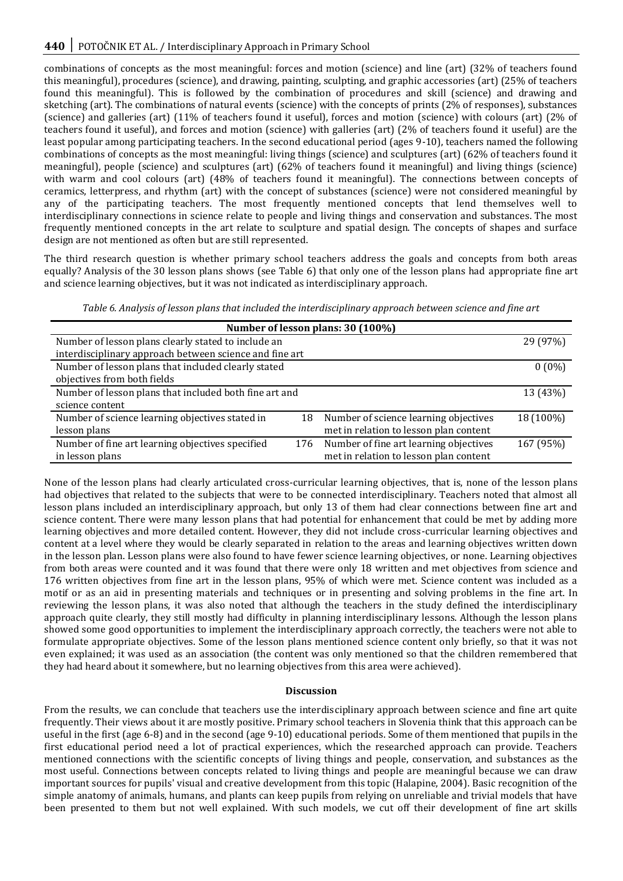combinations of concepts as the most meaningful: forces and motion (science) and line (art) (32% of teachers found this meaningful), procedures (science), and drawing, painting, sculpting, and graphic accessories (art) (25% of teachers found this meaningful). This is followed by the combination of procedures and skill (science) and drawing and sketching (art). The combinations of natural events (science) with the concepts of prints (2% of responses), substances (science) and galleries (art) (11% of teachers found it useful), forces and motion (science) with colours (art) (2% of teachers found it useful), and forces and motion (science) with galleries (art) (2% of teachers found it useful) are the least popular among participating teachers. In the second educational period (ages 9-10), teachers named the following combinations of concepts as the most meaningful: living things (science) and sculptures (art) (62% of teachers found it meaningful), people (science) and sculptures (art) (62% of teachers found it meaningful) and living things (science) with warm and cool colours (art) (48% of teachers found it meaningful). The connections between concepts of ceramics, letterpress, and rhythm (art) with the concept of substances (science) were not considered meaningful by any of the participating teachers. The most frequently mentioned concepts that lend themselves well to interdisciplinary connections in science relate to people and living things and conservation and substances. The most frequently mentioned concepts in the art relate to sculpture and spatial design. The concepts of shapes and surface design are not mentioned as often but are still represented.

The third research question is whether primary school teachers address the goals and concepts from both areas equally? Analysis of the 30 lesson plans shows (see Table 6) that only one of the lesson plans had appropriate fine art and science learning objectives, but it was not indicated as interdisciplinary approach.

*Table 6. Analysis of lesson plans that included the interdisciplinary approach between science and fine art*

| Number of lesson plans: 30 (100%)                       |     |                                        |           |  |  |  |  |
|---------------------------------------------------------|-----|----------------------------------------|-----------|--|--|--|--|
| Number of lesson plans clearly stated to include an     |     |                                        | 29 (97%)  |  |  |  |  |
| interdisciplinary approach between science and fine art |     |                                        |           |  |  |  |  |
| Number of lesson plans that included clearly stated     |     |                                        | $0(0\%)$  |  |  |  |  |
| objectives from both fields                             |     |                                        |           |  |  |  |  |
| Number of lesson plans that included both fine art and  |     |                                        | 13 (43%)  |  |  |  |  |
| science content                                         |     |                                        |           |  |  |  |  |
| Number of science learning objectives stated in         | 18  | Number of science learning objectives  | 18 (100%) |  |  |  |  |
| lesson plans                                            |     | met in relation to lesson plan content |           |  |  |  |  |
| Number of fine art learning objectives specified        | 176 | Number of fine art learning objectives | 167 (95%) |  |  |  |  |
| in lesson plans                                         |     | met in relation to lesson plan content |           |  |  |  |  |

None of the lesson plans had clearly articulated cross-curricular learning objectives, that is, none of the lesson plans had objectives that related to the subjects that were to be connected interdisciplinary. Teachers noted that almost all lesson plans included an interdisciplinary approach, but only 13 of them had clear connections between fine art and science content. There were many lesson plans that had potential for enhancement that could be met by adding more learning objectives and more detailed content. However, they did not include cross-curricular learning objectives and content at a level where they would be clearly separated in relation to the areas and learning objectives written down in the lesson plan. Lesson plans were also found to have fewer science learning objectives, or none. Learning objectives from both areas were counted and it was found that there were only 18 written and met objectives from science and 176 written objectives from fine art in the lesson plans, 95% of which were met. Science content was included as a motif or as an aid in presenting materials and techniques or in presenting and solving problems in the fine art. In reviewing the lesson plans, it was also noted that although the teachers in the study defined the interdisciplinary approach quite clearly, they still mostly had difficulty in planning interdisciplinary lessons. Although the lesson plans showed some good opportunities to implement the interdisciplinary approach correctly, the teachers were not able to formulate appropriate objectives. Some of the lesson plans mentioned science content only briefly, so that it was not even explained; it was used as an association (the content was only mentioned so that the children remembered that they had heard about it somewhere, but no learning objectives from this area were achieved).

## **Discussion**

From the results, we can conclude that teachers use the interdisciplinary approach between science and fine art quite frequently. Their views about it are mostly positive. Primary school teachers in Slovenia think that this approach can be useful in the first (age 6-8) and in the second (age 9-10) educational periods. Some of them mentioned that pupils in the first educational period need a lot of practical experiences, which the researched approach can provide. Teachers mentioned connections with the scientific concepts of living things and people, conservation, and substances as the most useful. Connections between concepts related to living things and people are meaningful because we can draw important sources for pupils' visual and creative development from this topic (Halapine, 2004). Basic recognition of the simple anatomy of animals, humans, and plants can keep pupils from relying on unreliable and trivial models that have been presented to them but not well explained. With such models, we cut off their development of fine art skills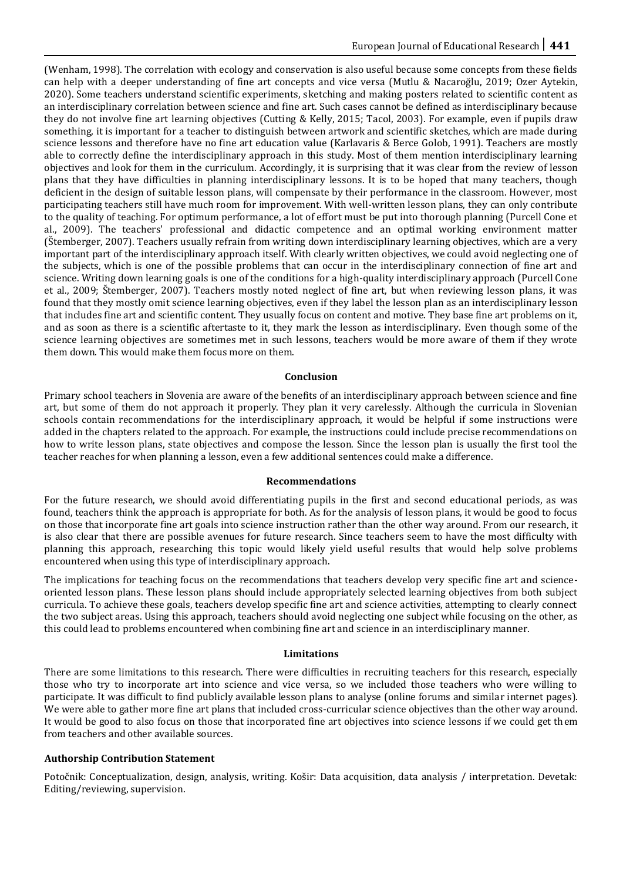(Wenham, 1998). The correlation with ecology and conservation is also useful because some concepts from these fields can help with a deeper understanding of fine art concepts and vice versa (Mutlu & Nacaroğlu, 2019; Ozer Aytekin, 2020). Some teachers understand scientific experiments, sketching and making posters related to scientific content as an interdisciplinary correlation between science and fine art. Such cases cannot be defined as interdisciplinary because they do not involve fine art learning objectives (Cutting & Kelly, 2015; Tacol, 2003). For example, even if pupils draw something, it is important for a teacher to distinguish between artwork and scientific sketches, which are made during science lessons and therefore have no fine art education value (Karlavaris & Berce Golob, 1991). Teachers are mostly able to correctly define the interdisciplinary approach in this study. Most of them mention interdisciplinary learning objectives and look for them in the curriculum. Accordingly, it is surprising that it was clear from the review of lesson plans that they have difficulties in planning interdisciplinary lessons. It is to be hoped that many teachers, though deficient in the design of suitable lesson plans, will compensate by their performance in the classroom. However, most participating teachers still have much room for improvement. With well-written lesson plans, they can only contribute to the quality of teaching. For optimum performance, a lot of effort must be put into thorough planning (Purcell Cone et al., 2009). The teachers' professional and didactic competence and an optimal working environment matter (Štemberger, 2007). Teachers usually refrain from writing down interdisciplinary learning objectives, which are a very important part of the interdisciplinary approach itself. With clearly written objectives, we could avoid neglecting one of the subjects, which is one of the possible problems that can occur in the interdisciplinary connection of fine art and science. Writing down learning goals is one of the conditions for a high-quality interdisciplinary approach (Purcell Cone et al., 2009; Štemberger, 2007). Teachers mostly noted neglect of fine art, but when reviewing lesson plans, it was found that they mostly omit science learning objectives, even if they label the lesson plan as an interdisciplinary lesson that includes fine art and scientific content. They usually focus on content and motive. They base fine art problems on it, and as soon as there is a scientific aftertaste to it, they mark the lesson as interdisciplinary. Even though some of the science learning objectives are sometimes met in such lessons, teachers would be more aware of them if they wrote them down. This would make them focus more on them.

## **Conclusion**

Primary school teachers in Slovenia are aware of the benefits of an interdisciplinary approach between science and fine art, but some of them do not approach it properly. They plan it very carelessly. Although the curricula in Slovenian schools contain recommendations for the interdisciplinary approach, it would be helpful if some instructions were added in the chapters related to the approach. For example, the instructions could include precise recommendations on how to write lesson plans, state objectives and compose the lesson. Since the lesson plan is usually the first tool the teacher reaches for when planning a lesson, even a few additional sentences could make a difference.

## **Recommendations**

For the future research, we should avoid differentiating pupils in the first and second educational periods, as was found, teachers think the approach is appropriate for both. As for the analysis of lesson plans, it would be good to focus on those that incorporate fine art goals into science instruction rather than the other way around. From our research, it is also clear that there are possible avenues for future research. Since teachers seem to have the most difficulty with planning this approach, researching this topic would likely yield useful results that would help solve problems encountered when using this type of interdisciplinary approach.

The implications for teaching focus on the recommendations that teachers develop very specific fine art and scienceoriented lesson plans. These lesson plans should include appropriately selected learning objectives from both subject curricula. To achieve these goals, teachers develop specific fine art and science activities, attempting to clearly connect the two subject areas. Using this approach, teachers should avoid neglecting one subject while focusing on the other, as this could lead to problems encountered when combining fine art and science in an interdisciplinary manner.

## **Limitations**

There are some limitations to this research. There were difficulties in recruiting teachers for this research, especially those who try to incorporate art into science and vice versa, so we included those teachers who were willing to participate. It was difficult to find publicly available lesson plans to analyse (online forums and similar internet pages). We were able to gather more fine art plans that included cross-curricular science objectives than the other way around. It would be good to also focus on those that incorporated fine art objectives into science lessons if we could get them from teachers and other available sources.

## **Authorship Contribution Statement**

Potočnik: Conceptualization, design, analysis, writing. Košir: Data acquisition, data analysis / interpretation. Devetak: Editing/reviewing, supervision.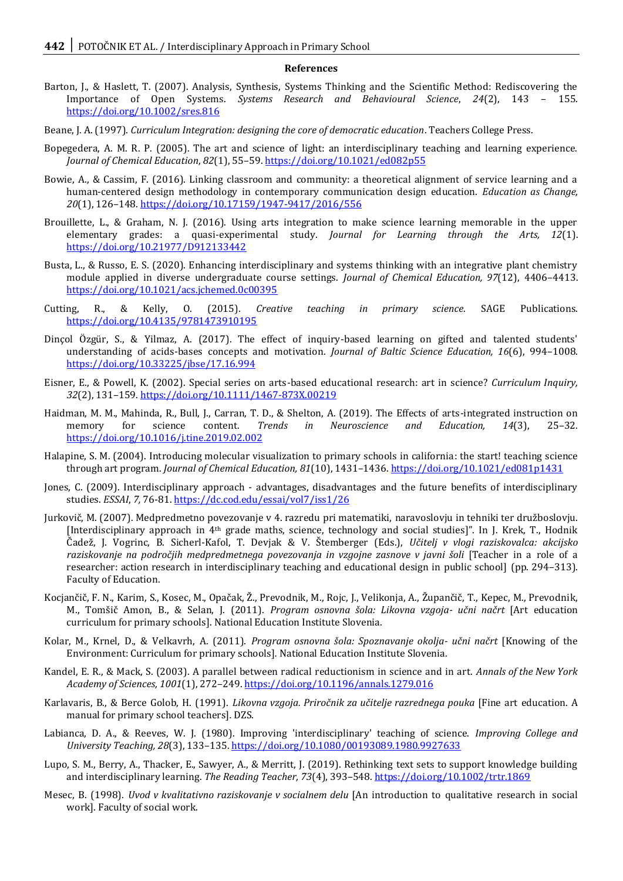#### **References**

- Barton, J., & Haslett, T. (2007). Analysis, Synthesis, Systems Thinking and the Scientific Method: Rediscovering the Importance of Open Systems. *Systems Research and Behavioural Science*, *24*(2), 143 – 155. <https://doi.org/10.1002/sres.816>
- Beane, J. A. (1997). *Curriculum Integration: designing the core of democratic education*. Teachers College Press.
- Bopegedera, A. M. R. P. (2005). The art and science of light: an interdisciplinary teaching and learning experience. *Journal of Chemical Education*, *82*(1), 55–59[. https://doi.org/10.1021/ed082p55](https://doi.org/10.1021/ed082p55)
- Bowie, A., & Cassim, F. (2016). Linking classroom and community: a theoretical alignment of service learning and a human-centered design methodology in contemporary communication design education. *Education as Change, 20*(1), 126–148[. https://doi.org/10.17159/1947-9417/2016/556](https://doi.org/10.17159/1947-9417/2016/556)
- Brouillette, L., & Graham, N. J. (2016). Using arts integration to make science learning memorable in the upper elementary grades: a quasi-experimental study. *Journal for Learning through the Arts, 12*(1). <https://doi.org/10.21977/D912133442>
- Busta, L., & Russo, E. S. (2020). Enhancing interdisciplinary and systems thinking with an integrative plant chemistry module applied in diverse undergraduate course settings. *Journal of Chemical Education, 97*(12), 4406–4413. <https://doi.org/10.1021/acs.jchemed.0c00395>
- Cutting, R., & Kelly, O. (2015). *Creative teaching in primary science*. SAGE Publications. <https://doi.org/10.4135/9781473910195>
- Dinçol Özgür, S., & Yilmaz, A. (2017). The effect of inquiry-based learning on gifted and talented students' understanding of acids-bases concepts and motivation. *Journal of Baltic Science Education, 16*(6), 994–1008. <https://doi.org/10.33225/jbse/17.16.994>
- Eisner, E., & Powell, K. (2002). Special series on arts-based educational research: art in science? *Curriculum Inquiry, 32*(2), 131–159[. https://doi.org/10.1111/1467-873X.00219](https://doi.org/10.1111/1467-873X.00219)
- Haidman, M. M., Mahinda, R., Bull, J., Carran, T. D., & Shelton, A. (2019). The Effects of arts-integrated instruction on memory for science content. *Trends in Neuroscience and Education, 14*(3), 25–32. <https://doi.org/10.1016/j.tine.2019.02.002>
- Halapine, S. M. (2004). Introducing molecular visualization to primary schools in california: the start! teaching science through art program. *Journal of Chemical Education, 81*(10), 1431–1436.<https://doi.org/10.1021/ed081p1431>
- Jones, C. (2009). Interdisciplinary approach advantages, disadvantages and the future benefits of interdisciplinary studies. *ESSAI*, *7,* 76-81[. https://dc.cod.edu/essai/vol7/iss1/26](https://dc.cod.edu/essai/vol7/iss1/26)
- Jurkovič, M. (2007). Medpredmetno povezovanje v 4. razredu pri matematiki, naravoslovju in tehniki ter družboslovju. [Interdisciplinary approach in 4th grade maths, science, technology and social studies]". In J. Krek, T., Hodnik Čadež, J. Vogrinc, B. Sicherl-Kafol, T. Devjak & V. Štemberger (Eds.), *Učitelj v vlogi raziskovalca: akcijsko raziskovanje na področjih medpredmetnega povezovanja in vzgojne zasnove v javni šoli* [Teacher in a role of a researcher: action research in interdisciplinary teaching and educational design in public school] (pp. 294–313). Faculty of Education.
- Kocjančič, F. N., Karim, S., Kosec, M., Opačak, Ž., Prevodnik, M., Rojc, J., Velikonja, A., Župančič, T., Kepec, M., Prevodnik, M., Tomšič Amon, B., & Selan, J. (2011). *Program osnovna šola: Likovna vzgoja- učni načrt* [Art education curriculum for primary schools]. National Education Institute Slovenia.
- Kolar, M., Krnel, D., & Velkavrh, A. (2011). *Program osnovna šola: Spoznavanje okolja- učni načrt* [Knowing of the Environment: Curriculum for primary schools]*.* National Education Institute Slovenia.
- Kandel, E. R., & Mack, S. (2003). A parallel between radical reductionism in science and in art. *Annals of the New York Academy of Sciences, 1001*(1), 272–249.<https://doi.org/10.1196/annals.1279.016>
- Karlavaris, B., & Berce Golob, H. (1991). *Likovna vzgoja. Priročnik za učitelje razrednega pouka* [Fine art education. A manual for primary school teachers]*.* DZS.
- Labianca, D. A., & Reeves, W. J. (1980). Improving 'interdisciplinary' teaching of science. *Improving College and University Teaching, 28*(3), 133–135[. https://doi.org/10.1080/00193089.1980.9927633](https://doi.org/10.1080/00193089.1980.9927633)
- Lupo, S. M., Berry, A., Thacker, E., Sawyer, A., & Merritt, J. (2019). Rethinking text sets to support knowledge building and interdisciplinary learning. *The Reading Teacher, 73*(4), 393–548.<https://doi.org/10.1002/trtr.1869>
- Mesec, B. (1998). *Uvod v kvalitativno raziskovanje v socialnem delu* [An introduction to qualitative research in social work]. Faculty of social work.